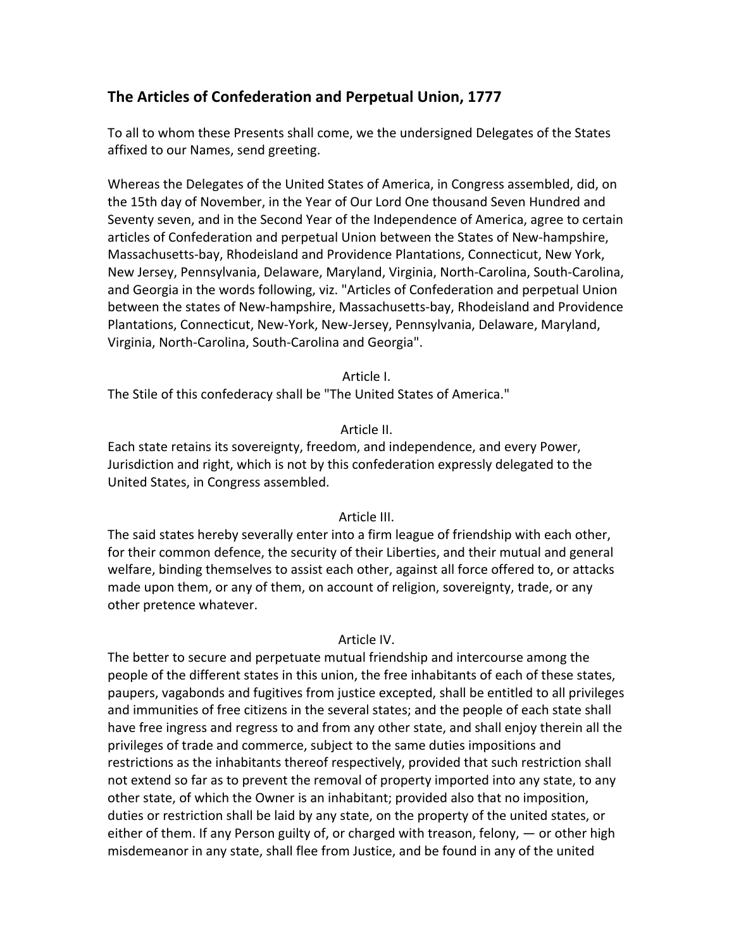# The Articles of Confederation and Perpetual Union, 1777

To all to whom these Presents shall come, we the undersigned Delegates of the States affixed to our Names, send greeting.

Whereas the Delegates of the United States of America, in Congress assembled, did, on the 15th day of November, in the Year of Our Lord One thousand Seven Hundred and Seventy seven, and in the Second Year of the Independence of America, agree to certain articles of Confederation and perpetual Union between the States of New-hampshire, Massachusetts-bay, Rhodeisland and Providence Plantations, Connecticut, New York, New Jersey, Pennsylvania, Delaware, Maryland, Virginia, North-Carolina, South-Carolina, and Georgia in the words following, viz. "Articles of Confederation and perpetual Union between the states of New-hampshire, Massachusetts-bay, Rhodeisland and Providence Plantations, Connecticut, New-York, New-Jersey, Pennsylvania, Delaware, Maryland, Virginia, North-Carolina, South-Carolina and Georgia".

Article I.

The Stile of this confederacy shall be "The United States of America."

# Article II.

Each state retains its sovereignty, freedom, and independence, and every Power, Jurisdiction and right, which is not by this confederation expressly delegated to the United States, in Congress assembled.

# Article III.

The said states hereby severally enter into a firm league of friendship with each other, for their common defence, the security of their Liberties, and their mutual and general welfare, binding themselves to assist each other, against all force offered to, or attacks made upon them, or any of them, on account of religion, sovereignty, trade, or any other pretence whatever.

# Article IV.

The better to secure and perpetuate mutual friendship and intercourse among the people of the different states in this union, the free inhabitants of each of these states, paupers, vagabonds and fugitives from justice excepted, shall be entitled to all privileges and immunities of free citizens in the several states; and the people of each state shall have free ingress and regress to and from any other state, and shall enjoy therein all the privileges of trade and commerce, subject to the same duties impositions and restrictions as the inhabitants thereof respectively, provided that such restriction shall not extend so far as to prevent the removal of property imported into any state, to any other state, of which the Owner is an inhabitant; provided also that no imposition, duties or restriction shall be laid by any state, on the property of the united states, or either of them. If any Person guilty of, or charged with treason, felony,  $-$  or other high misdemeanor in any state, shall flee from Justice, and be found in any of the united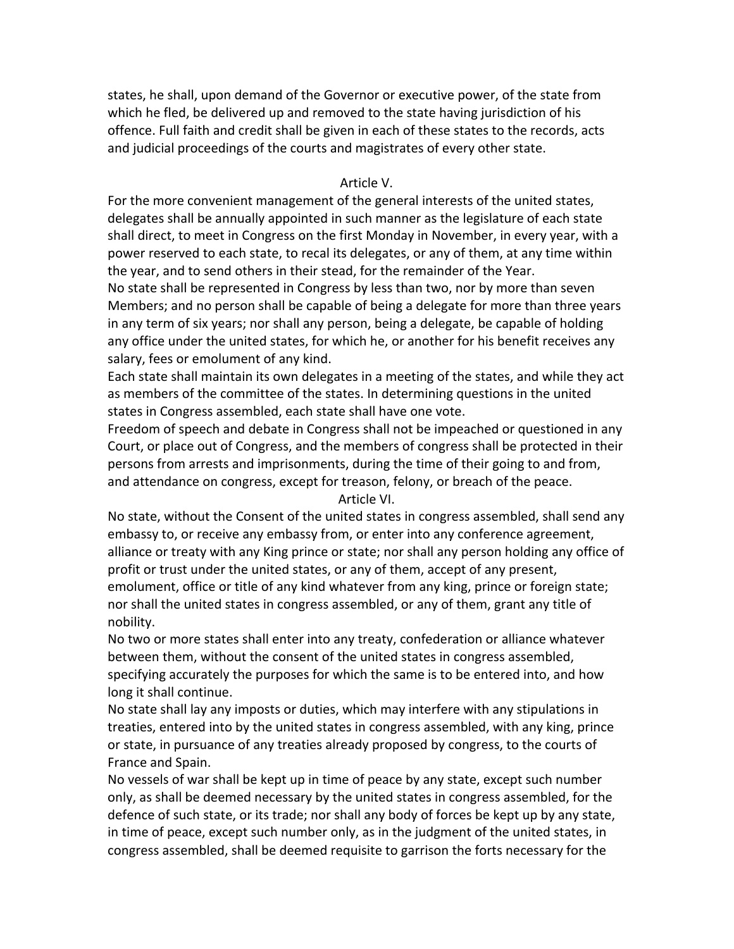states, he shall, upon demand of the Governor or executive power, of the state from which he fled, be delivered up and removed to the state having jurisdiction of his offence. Full faith and credit shall be given in each of these states to the records, acts and judicial proceedings of the courts and magistrates of every other state.

### Article V.

For the more convenient management of the general interests of the united states, delegates shall be annually appointed in such manner as the legislature of each state shall direct, to meet in Congress on the first Monday in November, in every year, with a power reserved to each state, to recal its delegates, or any of them, at any time within the year, and to send others in their stead, for the remainder of the Year.

No state shall be represented in Congress by less than two, nor by more than seven Members; and no person shall be capable of being a delegate for more than three years in any term of six years; nor shall any person, being a delegate, be capable of holding any office under the united states, for which he, or another for his benefit receives any salary, fees or emolument of any kind.

Each state shall maintain its own delegates in a meeting of the states, and while they act as members of the committee of the states. In determining questions in the united states in Congress assembled, each state shall have one vote.

Freedom of speech and debate in Congress shall not be impeached or questioned in any Court, or place out of Congress, and the members of congress shall be protected in their persons from arrests and imprisonments, during the time of their going to and from, and attendance on congress, except for treason, felony, or breach of the peace. Article VI.

No state, without the Consent of the united states in congress assembled, shall send any embassy to, or receive any embassy from, or enter into any conference agreement, alliance or treaty with any King prince or state; nor shall any person holding any office of profit or trust under the united states, or any of them, accept of any present, emolument, office or title of any kind whatever from any king, prince or foreign state; nor shall the united states in congress assembled, or any of them, grant any title of nobility.

No two or more states shall enter into any treaty, confederation or alliance whatever between them, without the consent of the united states in congress assembled, specifying accurately the purposes for which the same is to be entered into, and how long it shall continue.

No state shall lay any imposts or duties, which may interfere with any stipulations in treaties, entered into by the united states in congress assembled, with any king, prince or state, in pursuance of any treaties already proposed by congress, to the courts of France and Spain.

No vessels of war shall be kept up in time of peace by any state, except such number only, as shall be deemed necessary by the united states in congress assembled, for the defence of such state, or its trade; nor shall any body of forces be kept up by any state, in time of peace, except such number only, as in the judgment of the united states, in congress assembled, shall be deemed requisite to garrison the forts necessary for the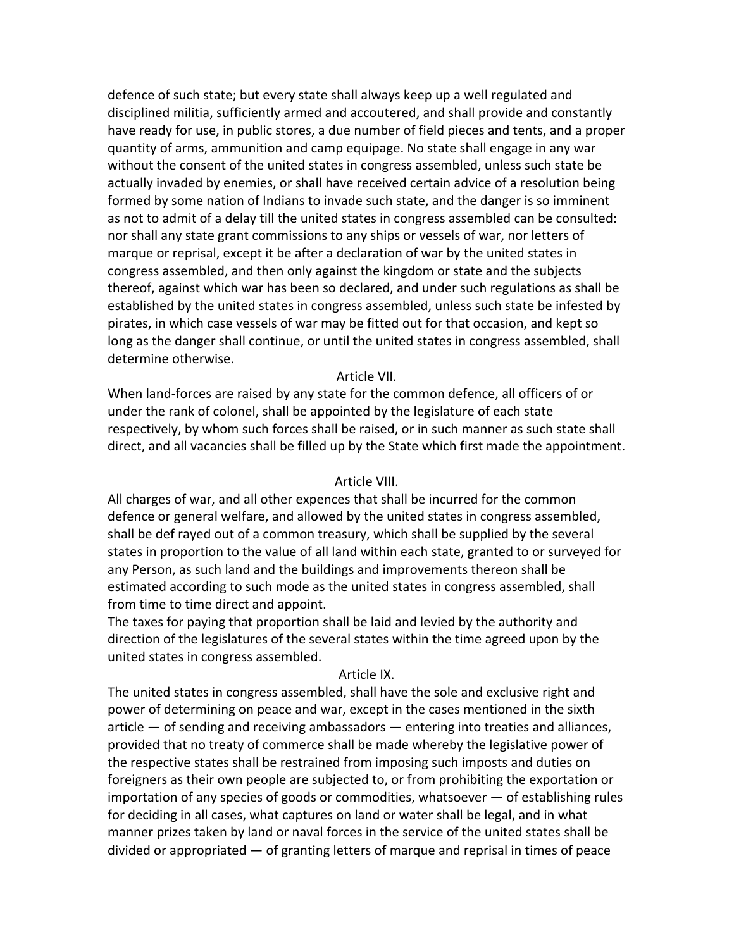defence of such state; but every state shall always keep up a well regulated and disciplined militia, sufficiently armed and accoutered, and shall provide and constantly have ready for use, in public stores, a due number of field pieces and tents, and a proper quantity of arms, ammunition and camp equipage. No state shall engage in any war without the consent of the united states in congress assembled, unless such state be actually invaded by enemies, or shall have received certain advice of a resolution being formed by some nation of Indians to invade such state, and the danger is so imminent as not to admit of a delay till the united states in congress assembled can be consulted: nor shall any state grant commissions to any ships or vessels of war, nor letters of marque or reprisal, except it be after a declaration of war by the united states in congress assembled, and then only against the kingdom or state and the subjects thereof, against which war has been so declared, and under such regulations as shall be established by the united states in congress assembled, unless such state be infested by pirates, in which case vessels of war may be fitted out for that occasion, and kept so long as the danger shall continue, or until the united states in congress assembled, shall determine otherwise.

### Article VII.

When land-forces are raised by any state for the common defence, all officers of or under the rank of colonel, shall be appointed by the legislature of each state respectively, by whom such forces shall be raised, or in such manner as such state shall direct, and all vacancies shall be filled up by the State which first made the appointment.

#### Article VIII.

All charges of war, and all other expences that shall be incurred for the common defence or general welfare, and allowed by the united states in congress assembled, shall be def rayed out of a common treasury, which shall be supplied by the several states in proportion to the value of all land within each state, granted to or surveyed for any Person, as such land and the buildings and improvements thereon shall be estimated according to such mode as the united states in congress assembled, shall from time to time direct and appoint.

The taxes for paying that proportion shall be laid and levied by the authority and direction of the legislatures of the several states within the time agreed upon by the united states in congress assembled.

#### Article IX.

The united states in congress assembled, shall have the sole and exclusive right and power of determining on peace and war, except in the cases mentioned in the sixth article  $-$  of sending and receiving ambassadors  $-$  entering into treaties and alliances, provided that no treaty of commerce shall be made whereby the legislative power of the respective states shall be restrained from imposing such imposts and duties on foreigners as their own people are subjected to, or from prohibiting the exportation or importation of any species of goods or commodities, whatsoever  $-$  of establishing rules for deciding in all cases, what captures on land or water shall be legal, and in what manner prizes taken by land or naval forces in the service of the united states shall be divided or appropriated  $-$  of granting letters of marque and reprisal in times of peace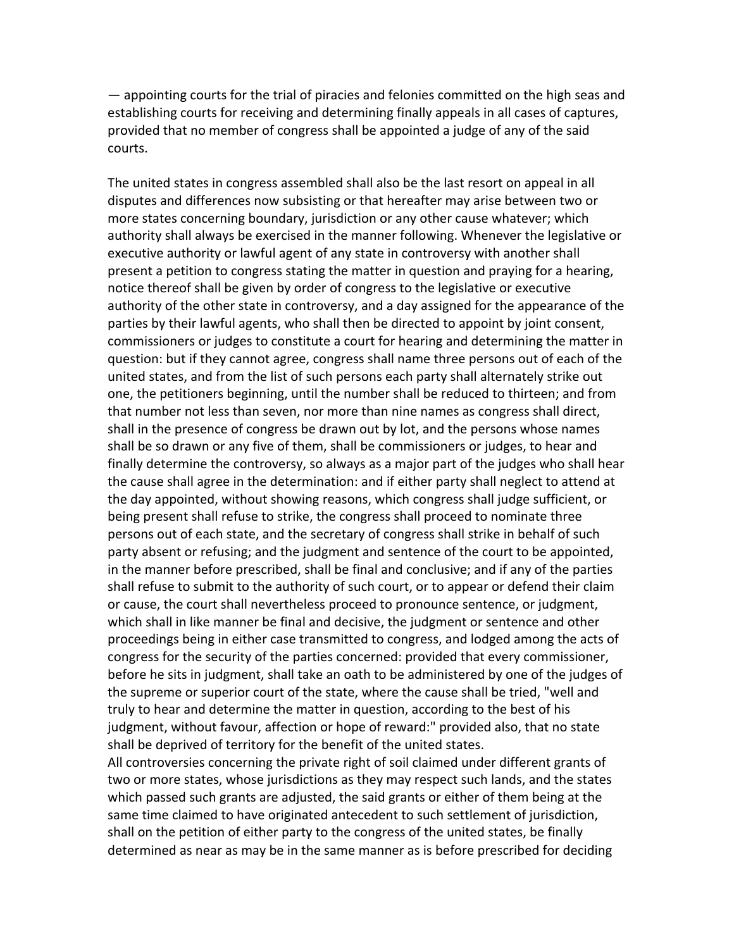$-$  appointing courts for the trial of piracies and felonies committed on the high seas and establishing courts for receiving and determining finally appeals in all cases of captures, provided that no member of congress shall be appointed a judge of any of the said courts.

The united states in congress assembled shall also be the last resort on appeal in all disputes and differences now subsisting or that hereafter may arise between two or more states concerning boundary, jurisdiction or any other cause whatever; which authority shall always be exercised in the manner following. Whenever the legislative or executive authority or lawful agent of any state in controversy with another shall present a petition to congress stating the matter in question and praying for a hearing, notice thereof shall be given by order of congress to the legislative or executive authority of the other state in controversy, and a day assigned for the appearance of the parties by their lawful agents, who shall then be directed to appoint by joint consent, commissioners or judges to constitute a court for hearing and determining the matter in question: but if they cannot agree, congress shall name three persons out of each of the united states, and from the list of such persons each party shall alternately strike out one, the petitioners beginning, until the number shall be reduced to thirteen; and from that number not less than seven, nor more than nine names as congress shall direct, shall in the presence of congress be drawn out by lot, and the persons whose names shall be so drawn or any five of them, shall be commissioners or judges, to hear and finally determine the controversy, so always as a major part of the judges who shall hear the cause shall agree in the determination: and if either party shall neglect to attend at the day appointed, without showing reasons, which congress shall judge sufficient, or being present shall refuse to strike, the congress shall proceed to nominate three persons out of each state, and the secretary of congress shall strike in behalf of such party absent or refusing; and the judgment and sentence of the court to be appointed, in the manner before prescribed, shall be final and conclusive; and if any of the parties shall refuse to submit to the authority of such court, or to appear or defend their claim or cause, the court shall nevertheless proceed to pronounce sentence, or judgment, which shall in like manner be final and decisive, the judgment or sentence and other proceedings being in either case transmitted to congress, and lodged among the acts of congress for the security of the parties concerned: provided that every commissioner, before he sits in judgment, shall take an oath to be administered by one of the judges of the supreme or superior court of the state, where the cause shall be tried, "well and truly to hear and determine the matter in question, according to the best of his judgment, without favour, affection or hope of reward:" provided also, that no state shall be deprived of territory for the benefit of the united states.

All controversies concerning the private right of soil claimed under different grants of two or more states, whose jurisdictions as they may respect such lands, and the states which passed such grants are adjusted, the said grants or either of them being at the same time claimed to have originated antecedent to such settlement of jurisdiction, shall on the petition of either party to the congress of the united states, be finally determined as near as may be in the same manner as is before prescribed for deciding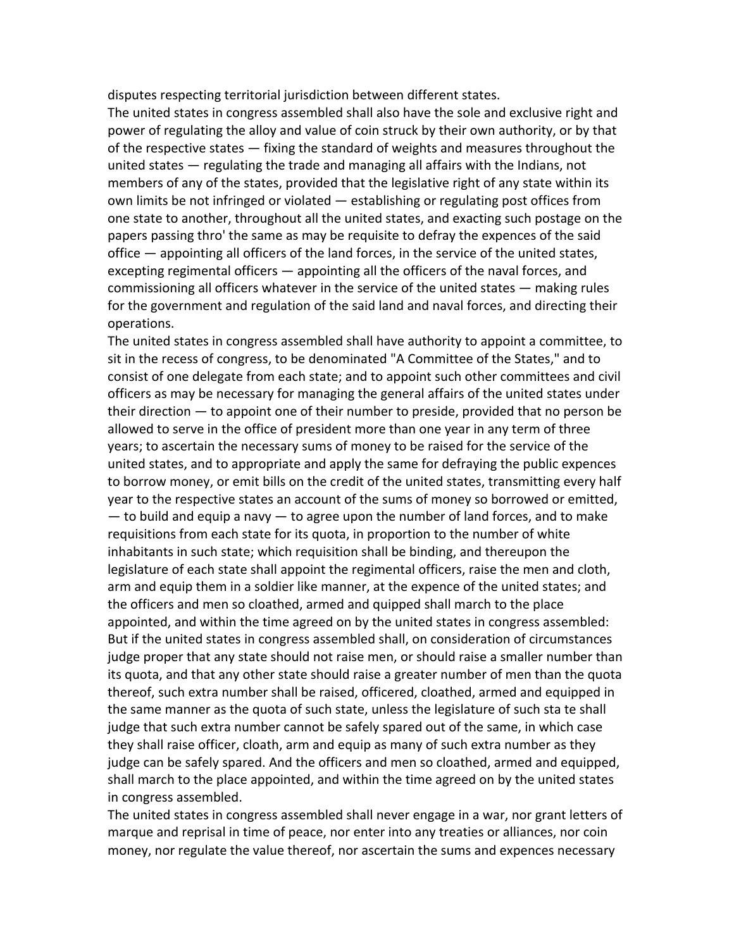disputes respecting territorial jurisdiction between different states.

The united states in congress assembled shall also have the sole and exclusive right and power of regulating the alloy and value of coin struck by their own authority, or by that of the respective states — fixing the standard of weights and measures throughout the united states  $-$  regulating the trade and managing all affairs with the Indians, not members of any of the states, provided that the legislative right of any state within its own limits be not infringed or violated — establishing or regulating post offices from one state to another, throughout all the united states, and exacting such postage on the papers passing thro' the same as may be requisite to defray the expences of the said office  $-$  appointing all officers of the land forces, in the service of the united states, excepting regimental officers  $-$  appointing all the officers of the naval forces, and commissioning all officers whatever in the service of the united states  $-$  making rules for the government and regulation of the said land and naval forces, and directing their operations.

The united states in congress assembled shall have authority to appoint a committee, to sit in the recess of congress, to be denominated "A Committee of the States," and to consist of one delegate from each state; and to appoint such other committees and civil officers as may be necessary for managing the general affairs of the united states under their direction  $-$  to appoint one of their number to preside, provided that no person be allowed to serve in the office of president more than one year in any term of three years; to ascertain the necessary sums of money to be raised for the service of the united states, and to appropriate and apply the same for defraying the public expences to borrow money, or emit bills on the credit of the united states, transmitting every half year to the respective states an account of the sums of money so borrowed or emitted, — to build and equip a navy — to agree upon the number of land forces, and to make requisitions from each state for its quota, in proportion to the number of white inhabitants in such state; which requisition shall be binding, and thereupon the legislature of each state shall appoint the regimental officers, raise the men and cloth, arm and equip them in a soldier like manner, at the expence of the united states; and the officers and men so cloathed, armed and quipped shall march to the place appointed, and within the time agreed on by the united states in congress assembled: But if the united states in congress assembled shall, on consideration of circumstances judge proper that any state should not raise men, or should raise a smaller number than its quota, and that any other state should raise a greater number of men than the quota thereof, such extra number shall be raised, officered, cloathed, armed and equipped in the same manner as the quota of such state, unless the legislature of such sta te shall judge that such extra number cannot be safely spared out of the same, in which case they shall raise officer, cloath, arm and equip as many of such extra number as they judge can be safely spared. And the officers and men so cloathed, armed and equipped, shall march to the place appointed, and within the time agreed on by the united states in congress assembled.

The united states in congress assembled shall never engage in a war, nor grant letters of marque and reprisal in time of peace, nor enter into any treaties or alliances, nor coin money, nor regulate the value thereof, nor ascertain the sums and expences necessary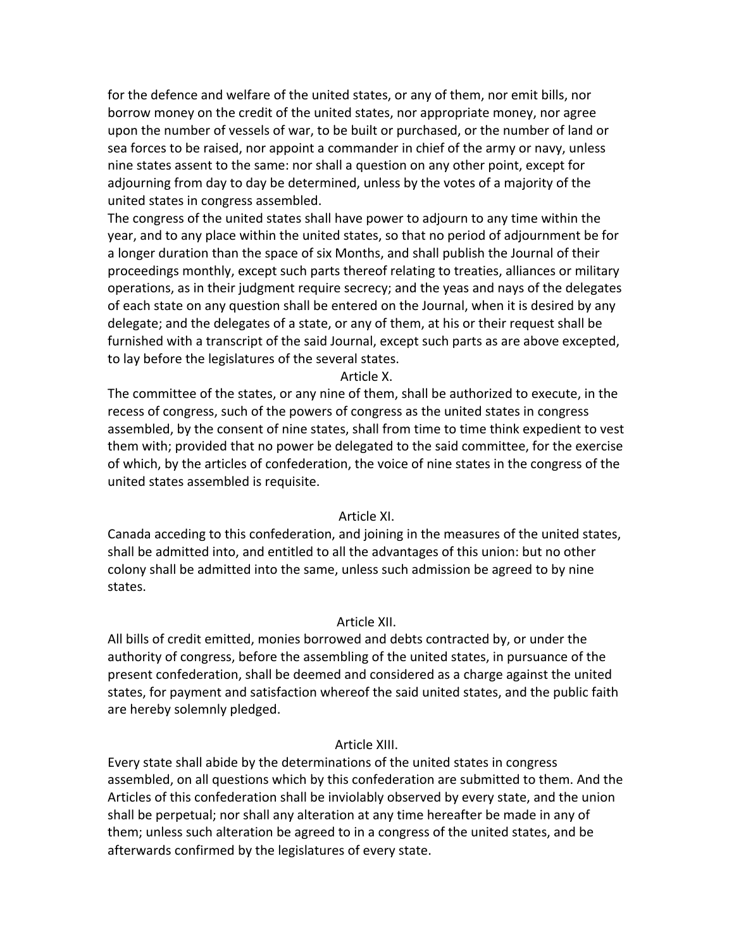for the defence and welfare of the united states, or any of them, nor emit bills, nor borrow money on the credit of the united states, nor appropriate money, nor agree upon the number of vessels of war, to be built or purchased, or the number of land or sea forces to be raised, nor appoint a commander in chief of the army or navy, unless nine states assent to the same: nor shall a question on any other point, except for adjourning from day to day be determined, unless by the votes of a majority of the united states in congress assembled.

The congress of the united states shall have power to adjourn to any time within the year, and to any place within the united states, so that no period of adjournment be for a longer duration than the space of six Months, and shall publish the Journal of their proceedings monthly, except such parts thereof relating to treaties, alliances or military operations, as in their judgment require secrecy; and the yeas and nays of the delegates of each state on any question shall be entered on the Journal, when it is desired by any delegate; and the delegates of a state, or any of them, at his or their request shall be furnished with a transcript of the said Journal, except such parts as are above excepted, to lay before the legislatures of the several states.

Article X.

The committee of the states, or any nine of them, shall be authorized to execute, in the recess of congress, such of the powers of congress as the united states in congress assembled, by the consent of nine states, shall from time to time think expedient to vest them with; provided that no power be delegated to the said committee, for the exercise of which, by the articles of confederation, the voice of nine states in the congress of the united states assembled is requisite.

## Article XI.

Canada acceding to this confederation, and joining in the measures of the united states, shall be admitted into, and entitled to all the advantages of this union: but no other colony shall be admitted into the same, unless such admission be agreed to by nine states.

#### Article XII.

All bills of credit emitted, monies borrowed and debts contracted by, or under the authority of congress, before the assembling of the united states, in pursuance of the present confederation, shall be deemed and considered as a charge against the united states, for payment and satisfaction whereof the said united states, and the public faith are hereby solemnly pledged.

### Article XIII.

Every state shall abide by the determinations of the united states in congress assembled, on all questions which by this confederation are submitted to them. And the Articles of this confederation shall be inviolably observed by every state, and the union shall be perpetual; nor shall any alteration at any time hereafter be made in any of them; unless such alteration be agreed to in a congress of the united states, and be afterwards confirmed by the legislatures of every state.